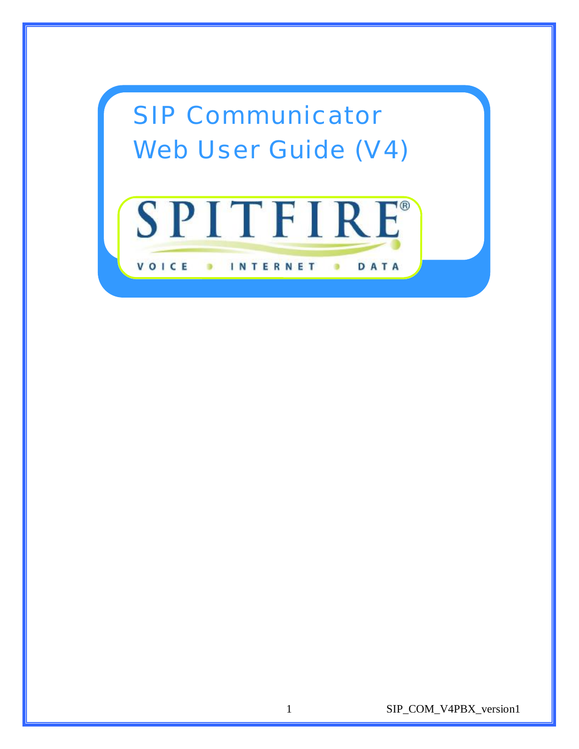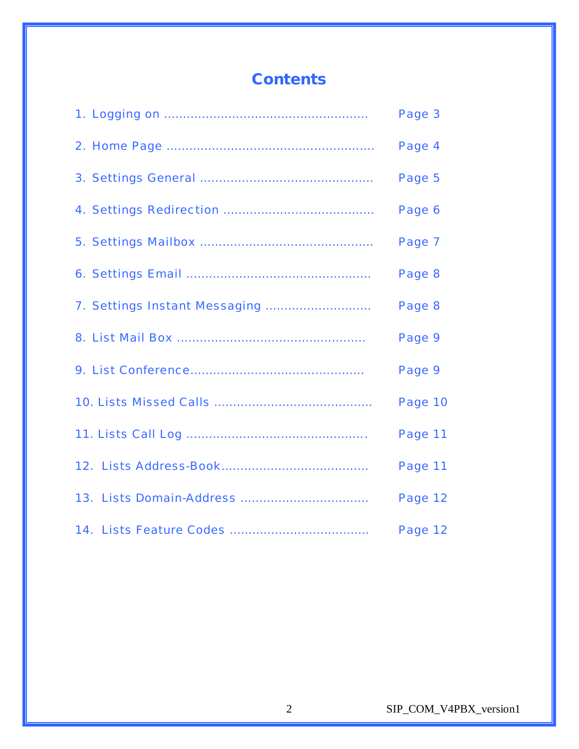# **Contents**

| Page 3  |
|---------|
| Page 4  |
| Page 5  |
| Page 6  |
| Page 7  |
| Page 8  |
| Page 8  |
| Page 9  |
| Page 9  |
| Page 10 |
| Page 11 |
| Page 11 |
| Page 12 |
| Page 12 |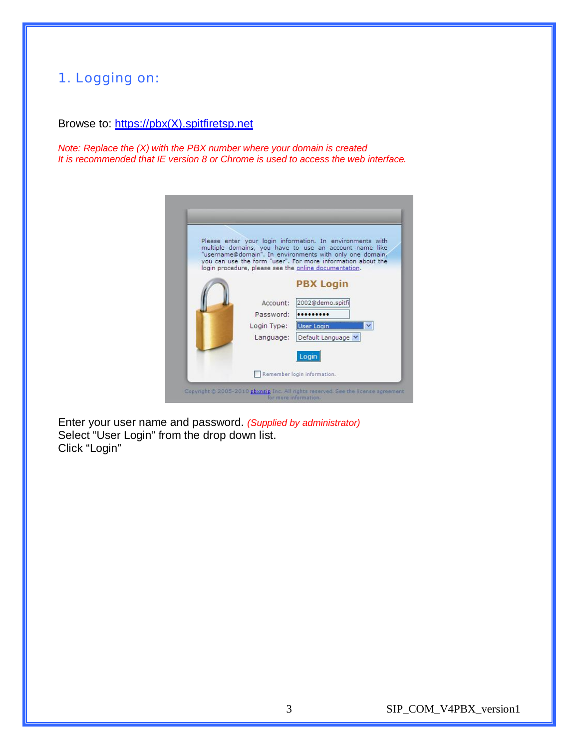#### 1. Logging on:

#### Browse to: [https://pbx\(X\).spitfiretsp.net](https://pbx(X).spitfiretsp.net)

*Note: Replace the (X) with the PBX number where your domain is created It is recommended that IE version 8 or Chrome is used to access the web interface.* 



Enter your user name and password. *(Supplied by administrator)*  Select "User Login" from the drop down list. Click "Login"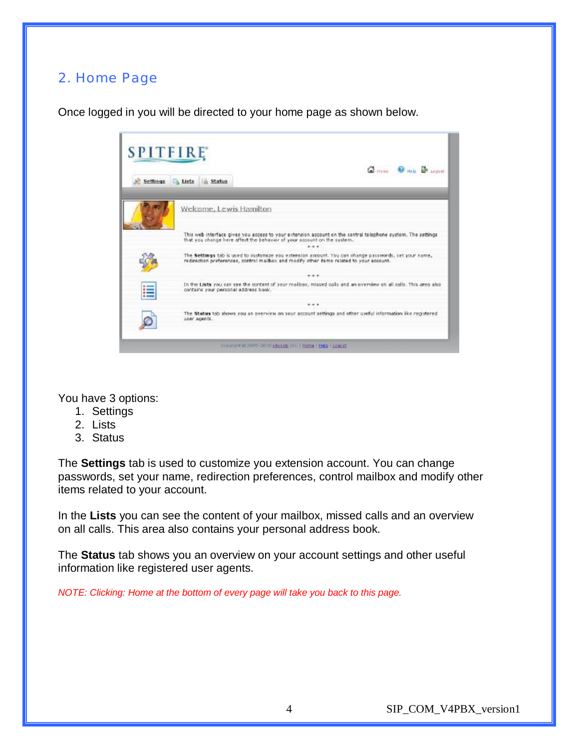### 2. Home Page

Once logged in you will be directed to your home page as shown below.

| Settings | Col Hims & Hills Br Leopart<br>Lists in Status                                                                                                                                                    |
|----------|---------------------------------------------------------------------------------------------------------------------------------------------------------------------------------------------------|
|          | Welcome, Lewis Hamilton                                                                                                                                                                           |
|          | This web interface gives you access to your extension account on the central telephone system. The settings<br>that you change here affect the behavior of your account on the system.<br>***     |
|          | The Settings tab is used to customize vou extension account. You can change passwords, set your name,<br>redirection preferences, control mailbox and modify other items related to your account. |
|          | ***                                                                                                                                                                                               |
| 這        | In the Lists you can see the content of your mailbox, missed calls and an overview on all calls. This area also<br>contains your personal address book.                                           |
|          | ***                                                                                                                                                                                               |
|          | The Status tab shows you an overview on your account settings and other useful information like registered<br>user agents.                                                                        |

You have 3 options:

- 1. Settings
- 2. Lists
- 3. Status

The **Settings** tab is used to customize you extension account. You can change passwords, set your name, redirection preferences, control mailbox and modify other items related to your account.

In the **Lists** you can see the content of your mailbox, missed calls and an overview on all calls. This area also contains your personal address book.

The **Status** tab shows you an overview on your account settings and other useful information like registered user agents.

*NOTE: Clicking: Home at the bottom of every page will take you back to this page.*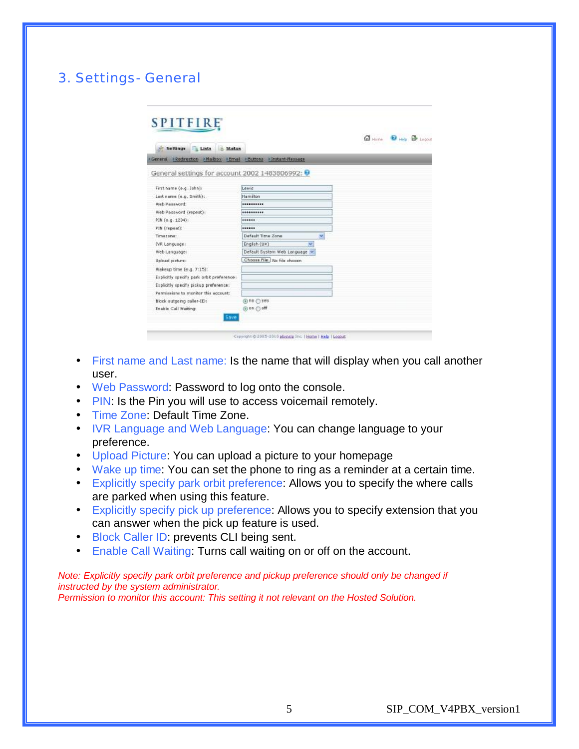### 3. Settings- General

|                                                                       |                                   | GHONG OHIO B LEONE |
|-----------------------------------------------------------------------|-----------------------------------|--------------------|
| Lista n Status<br>Settings                                            |                                   |                    |
| · General · Redirection · Nighbox · Email · Buttons · Instant-Nessage |                                   |                    |
| General settings for account 2002 1483806992: <b>0</b>                |                                   |                    |
| First name (e.g. John):                                               | Lewis                             |                    |
| Lest name (e.g. Smith):                                               | Hamilton                          |                    |
| Web Password:                                                         |                                   |                    |
| Web Password (repeat):                                                | **********                        |                    |
| PIN (e.g. 1234):                                                      | ******                            |                    |
| PIN [rugsant]:                                                        |                                   |                    |
| Timezone:                                                             | Default Time Zone<br>$\mathbf{v}$ |                    |
| IVR Language:                                                         | English (UK)<br>×                 |                    |
| Web Language:                                                         | Default System Web Language       |                    |
| Upload picture:                                                       | Choose File: No file chosen       |                    |
| Wakeup time (e.g. 7:15):                                              |                                   |                    |
| Explicitly specify park orbit preferences                             |                                   |                    |
| Explicitly specify pickup preference:                                 |                                   |                    |
| Permissions to monitor this account:                                  |                                   |                    |
| Block outgoing caller-ID:                                             | $@$ no $@$ yes                    |                    |
| Enable Call Waiting:                                                  | @ on O off                        |                    |

- First name and Last name: Is the name that will display when you call another user.
- Web Password: Password to log onto the console.
- PIN: Is the Pin you will use to access voicemail remotely.
- Time Zone: Default Time Zone.
- IVR Language and Web Language: You can change language to your preference.
- Upload Picture: You can upload a picture to your homepage
- Wake up time: You can set the phone to ring as a reminder at a certain time.
- Explicitly specify park orbit preference: Allows you to specify the where calls are parked when using this feature.
- Explicitly specify pick up preference: Allows you to specify extension that you can answer when the pick up feature is used.
- Block Caller ID: prevents CLI being sent.
- Enable Call Waiting: Turns call waiting on or off on the account.

*Note: Explicitly specify park orbit preference and pickup preference should only be changed if instructed by the system administrator. Permission to monitor this account: This setting it not relevant on the Hosted Solution.*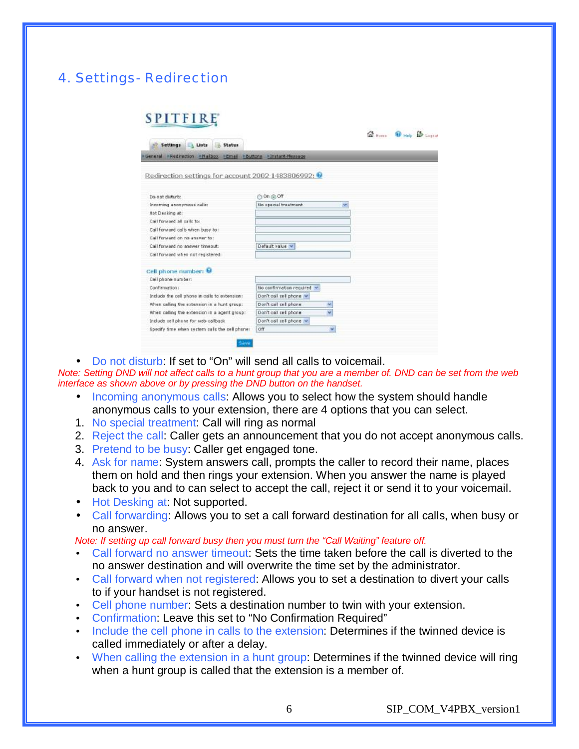## 4. Settings- Redirection

# **SPITFIRE**

| . General . Redirection . Nalbox . Cmail . Louttons . Instant-researce |                          |    |
|------------------------------------------------------------------------|--------------------------|----|
| Redirection settings for account 2002 1483806992: 0                    |                          |    |
| Do not disturb:                                                        | @ On @ Off               |    |
| Incoming anonymous calle:                                              | No special treatment     | ×  |
| Hot Decking at:                                                        |                          |    |
| Call forward all calls to:                                             |                          |    |
| Call forward calls when busy to !                                      |                          |    |
| Call Forward on no answer to:                                          |                          |    |
| Call forward no answer timeout:                                        | Default value            |    |
| Call forward when not registered.                                      |                          |    |
| Cell phone number: 0                                                   |                          |    |
| Cell phone number:                                                     |                          |    |
| Confirmation:                                                          | No confirmation required |    |
| Include the cell phone in calls to extension:                          | Don't call cell phone w  |    |
| When caling the estension in a hunt group:                             | Don't call call phone    | H. |
| When calling the extension in a agent group:                           | Don't call cell phone    | v  |
| Include cell phone for web caliback                                    | Don't cell cell phone w  |    |
| Specify time when system calls the cell phone:                         | Off                      | A. |

 $\alpha$   $\alpha$   $\alpha$ 

• Do not disturb: If set to "On" will send all calls to voicemail.

Note: Setting DND will not affect calls to a hunt group that you are a member of. DND can be set from the web *interface as shown above or by pressing the DND button on the handset.* 

- Incoming anonymous calls: Allows you to select how the system should handle anonymous calls to your extension, there are 4 options that you can select.
- 1. No special treatment: Call will ring as normal
- 2. Reject the call: Caller gets an announcement that you do not accept anonymous calls.
- 3. Pretend to be busy: Caller get engaged tone.
- 4. Ask for name: System answers call, prompts the caller to record their name, places them on hold and then rings your extension. When you answer the name is played back to you and to can select to accept the call, reject it or send it to your voicemail.
- Hot Desking at: Not supported.
- Call forwarding: Allows you to set a call forward destination for all calls, when busy or no answer.

*Note: If setting up call forward busy then you must turn the "Call Waiting" feature off.* 

- Call forward no answer timeout: Sets the time taken before the call is diverted to the no answer destination and will overwrite the time set by the administrator.
- Call forward when not registered: Allows you to set a destination to divert your calls to if your handset is not registered.
- Cell phone number: Sets a destination number to twin with your extension.
- Confirmation: Leave this set to "No Confirmation Required"
- Include the cell phone in calls to the extension: Determines if the twinned device is called immediately or after a delay.
- When calling the extension in a hunt group: Determines if the twinned device will ring when a hunt group is called that the extension is a member of.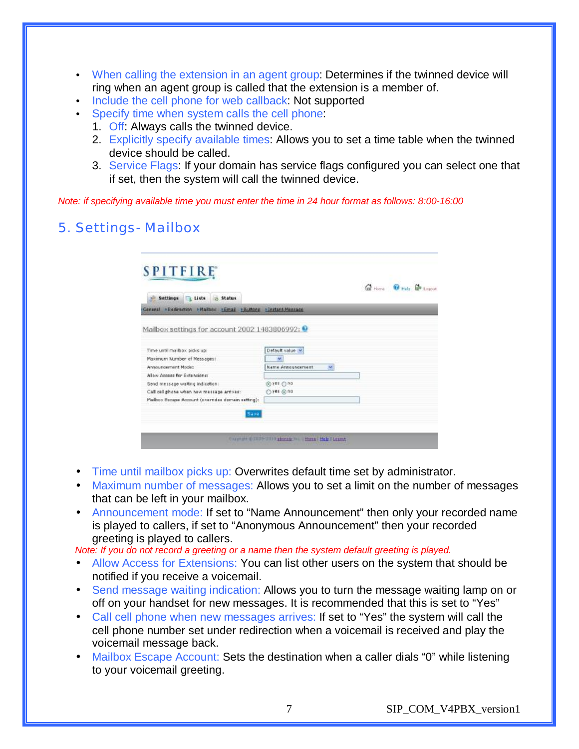- When calling the extension in an agent group: Determines if the twinned device will ring when an agent group is called that the extension is a member of.
- Include the cell phone for web callback: Not supported
- Specify time when system calls the cell phone:
	- 1. Off: Always calls the twinned device.
	- 2. Explicitly specify available times: Allows you to set a time table when the twinned device should be called.
	- 3. Service Flags: If your domain has service flags configured you can select one that if set, then the system will call the twinned device.

*Note: if specifying available time you must enter the time in 24 hour format as follows: 8:00-16:00* 

### 5. Settings- Mailbox

|                                                                                                     |                               | G Home <b>G Halp</b> G Legovit |
|-----------------------------------------------------------------------------------------------------|-------------------------------|--------------------------------|
| Lists & Status<br><b>Settings</b><br>General >Redirection >Mailbox >Email >Buttons >Instant-Mansade |                               |                                |
| Mailbox settings for account 2002 1483806992: <sup>●</sup>                                          |                               |                                |
|                                                                                                     |                               |                                |
| Time until mailbox picks up:                                                                        | Default value                 |                                |
| Maximum Mumber of Messages!                                                                         | w                             |                                |
| <b>Announcement Mode:</b>                                                                           | <b>Name Announcement</b><br>× |                                |
| Allow Armage for Extendione:                                                                        |                               |                                |
| Send message waiting indication:                                                                    | @yes @no                      |                                |
| Call cell phone when new message arrives:                                                           | O'res @no                     |                                |
| Malbox Escape Account (overrides domain setting):                                                   |                               |                                |
|                                                                                                     |                               |                                |

- Time until mailbox picks up: Overwrites default time set by administrator.
- Maximum number of messages: Allows you to set a limit on the number of messages that can be left in your mailbox.
- Announcement mode: If set to "Name Announcement" then only your recorded name is played to callers, if set to "Anonymous Announcement" then your recorded greeting is played to callers.

*Note: If you do not record a greeting or a name then the system default greeting is played.* 

- Allow Access for Extensions: You can list other users on the system that should be notified if you receive a voicemail.
- Send message waiting indication: Allows you to turn the message waiting lamp on or off on your handset for new messages. It is recommended that this is set to "Yes"
- Call cell phone when new messages arrives: If set to "Yes" the system will call the cell phone number set under redirection when a voicemail is received and play the voicemail message back.
- Mailbox Escape Account: Sets the destination when a caller dials "0" while listening to your voicemail greeting.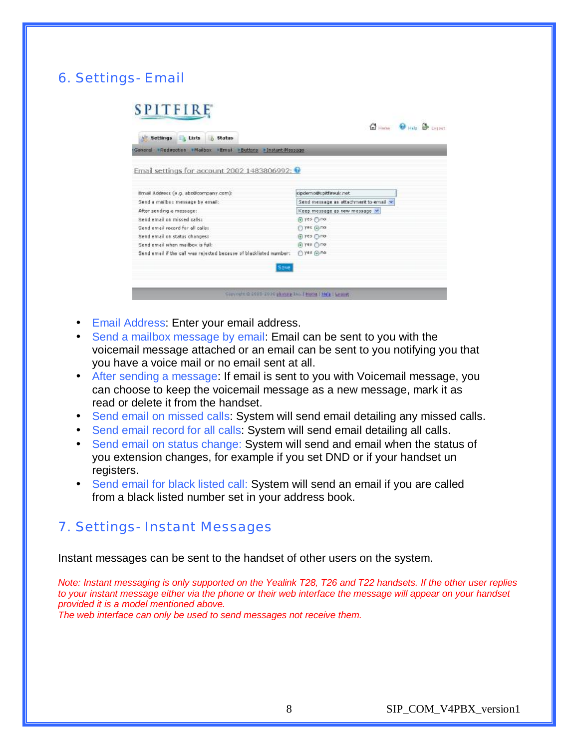# 6. Settings- Email

| Lists & Status<br>Settings                                          |                                       |
|---------------------------------------------------------------------|---------------------------------------|
| General • Redirection • Mailbox • Email • Buttons • Instant-Message |                                       |
| Email settings for account 2002 1483806992: 0                       |                                       |
|                                                                     |                                       |
| Email Address (e.g. abo@company.com):                               | sipidemo@spitfireuk.net               |
| Send a mailbox message by email:                                    | Send message as attachment to email v |
| After sending a message:                                            | Keep message as new message Y         |
| Send email on missed palls:                                         | @ yes @ no                            |
| Send email record for all calls:                                    | C) Fes (a) no                         |
| Send email on status changes:                                       | @ yes @no                             |
| Send email when mailbox is full:                                    | @ 798 Orie                            |
| Send email if the call was rejected because of blacklisted number:  | $0$ yes $0$ no                        |
|                                                                     |                                       |

- Email Address: Enter your email address.
- Send a mailbox message by email: Email can be sent to you with the voicemail message attached or an email can be sent to you notifying you that you have a voice mail or no email sent at all.
- After sending a message: If email is sent to you with Voicemail message, you can choose to keep the voicemail message as a new message, mark it as read or delete it from the handset.
- Send email on missed calls: System will send email detailing any missed calls.
- Send email record for all calls: System will send email detailing all calls.
- Send email on status change: System will send and email when the status of you extension changes, for example if you set DND or if your handset un registers.
- Send email for black listed call: System will send an email if you are called from a black listed number set in your address book.

#### 7. Settings- Instant Messages

Instant messages can be sent to the handset of other users on the system.

*Note: Instant messaging is only supported on the Yealink T28, T26 and T22 handsets. If the other user replies to your instant message either via the phone or their web interface the message will appear on your handset provided it is a model mentioned above.* 

*The web interface can only be used to send messages not receive them.*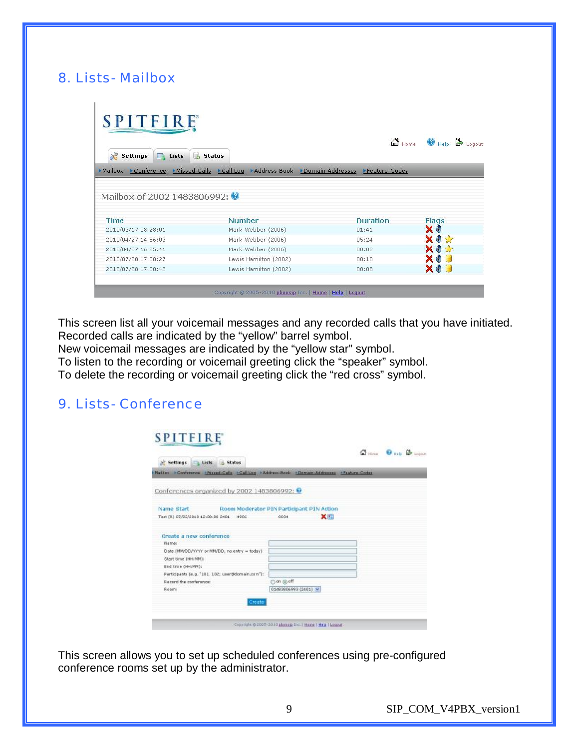### 8. Lists- Mailbox

|                                                            |                                                                              | <b>m</b> Home   | ₿<br>Help<br>Logout |  |  |
|------------------------------------------------------------|------------------------------------------------------------------------------|-----------------|---------------------|--|--|
| 地<br>Là<br><b>Settings</b><br>E4<br>Lists<br><b>Status</b> |                                                                              |                 |                     |  |  |
| • Mailbox                                                  | Conference Missed-Calls Call Log Mddress-Book Domain-Addresses Meature-Codes |                 |                     |  |  |
|                                                            |                                                                              |                 |                     |  |  |
| Time                                                       | Number                                                                       | <b>Duration</b> | Flags               |  |  |
| 2010/03/17 08:28:01<br>2010/04/27 14:56:03                 | Mark Webber (2006)<br>Mark Webber (2006)                                     | 01:41<br>05:24  | ХO<br><b>XOX</b>    |  |  |
| 2010/04/27 16:25:41                                        | Mark Webber (2006)                                                           | 00:02           | <b>XOX</b>          |  |  |
| Mailbox of 2002 1483806992: 0<br>2010/07/28 17:00:27       | Lewis Hamilton (2002)                                                        | 00:10           | <b>XOL</b>          |  |  |

This screen list all your voicemail messages and any recorded calls that you have initiated. Recorded calls are indicated by the "yellow" barrel symbol.

New voicemail messages are indicated by the "yellow star" symbol.

To listen to the recording or voicemail greeting click the "speaker" symbol.

To delete the recording or voicemail greeting click the "red cross" symbol.

#### 9. Lists- Conference

**SPITFIRE** 

| Maillox >Conference +Nased-Calls +CallLog +Address-Book +Domain-Addresses +Feature-Codes |                                           |
|------------------------------------------------------------------------------------------|-------------------------------------------|
| Conferences organized by 2002 1483806992:                                                |                                           |
| Name Start                                                                               | Room Moderator PIN Participant PIN Action |
| Test (R) 07/22/2010 12:00:00 2401 4906                                                   | XIII<br>0034                              |
| Create a new conference                                                                  |                                           |
| <b>Name:</b>                                                                             |                                           |
| Date (MN/DD/Y/YY or MN/DO, no entry = today)                                             |                                           |
| Start time (HH:NM)                                                                       |                                           |
| End time (HH:MM);                                                                        |                                           |
| Participants (e.g. "101, 102; user@domain.com"):                                         |                                           |
| Record the conference:                                                                   | ○ on @ off                                |
| Roomi                                                                                    | 01493906993 (2401) W                      |
|                                                                                          |                                           |
| Creater                                                                                  |                                           |

This screen allows you to set up scheduled conferences using pre-configured conference rooms set up by the administrator.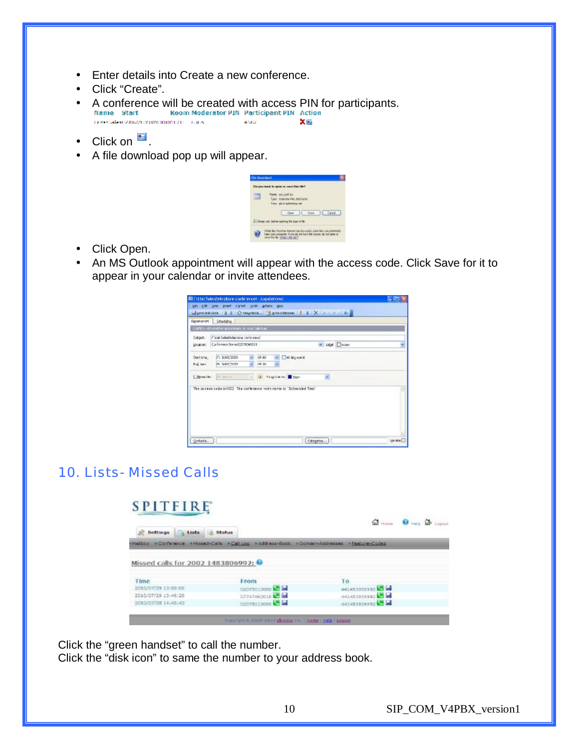- Enter details into Create a new conference.
- Click "Create".
- A conference will be created with access PIN for participants.<br>Name Start Room Moderator PIN Participant PIN Action 关照 the literal substraction memorialism is a case. 4662
- Click on  $\blacksquare$ .
- A file download pop up will appear.

| in Downland |                                                                                                      |  |
|-------------|------------------------------------------------------------------------------------------------------|--|
| Due month   |                                                                                                      |  |
| <b>STEP</b> | langer since more and<br>Tate: stakedarms, martylse<br>From sind addressing<br>Cami L. Save L. Canad |  |
|             | in Mexic sit, before specing this type of No-<br>are the \$4 brint's the said.                       |  |

- Click Open.
- An MS Outlook appointment will appear with the access code. Click Save for it to appear in your calendar or invite attendees.

| Appriment Scheduling |                                                     |                                                                       |                |  |
|----------------------|-----------------------------------------------------|-----------------------------------------------------------------------|----------------|--|
|                      | Confirm with analysis appointment or would always a |                                                                       |                |  |
|                      | Subject: [Fliest Selected prices conference]        |                                                                       |                |  |
|                      | insation: Cafe ewe beverfilt (WSW0019               |                                                                       | M Libel Chron- |  |
| Darting.             | Fr: 36802/2029                                      | $W = 08,00$<br>W Aldrews                                              |                |  |
| Ford, Same           | in whichman                                         | 09.30                                                                 |                |  |
|                      | Desiries It com-                                    | - Gi Sagtimov Gour                                                    | ×.             |  |
|                      |                                                     | The appear pade in [522] The contenuous your name in "Schepuled Test" |                |  |
|                      |                                                     |                                                                       |                |  |
|                      |                                                     |                                                                       |                |  |
|                      |                                                     |                                                                       |                |  |
|                      |                                                     |                                                                       |                |  |
|                      |                                                     |                                                                       |                |  |

## 10. Lists- Missed Calls

# **SPITFIRE**



Click the "green handset" to call the number. Click the "disk icon" to same the number to your address book.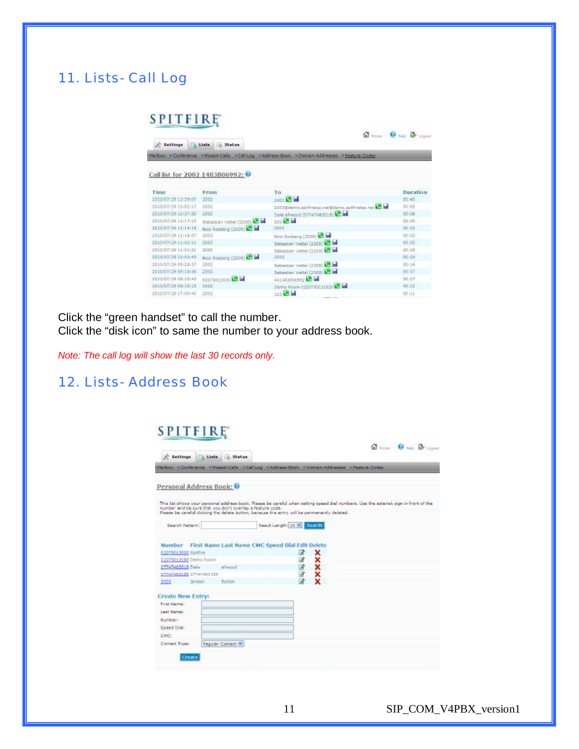### 11. Lists- Call Log

#### **SPITFIRE**

|                                |                               |                                                                                             | In Here & Help & Ligout |  |  |
|--------------------------------|-------------------------------|---------------------------------------------------------------------------------------------|-------------------------|--|--|
| Settings                       | 4 Links 5 Status              |                                                                                             |                         |  |  |
|                                |                               | Mailbox KConference + Missed-Calls KCallLog +Address-Book +Domain-Addresses + Feature-Codes |                         |  |  |
| Call list for 2002 1483806992: |                               |                                                                                             |                         |  |  |
| Time                           | From                          | To                                                                                          | Duration                |  |  |
| 2010/07/29 13:39:07            | 2002                          | 2401 5 6                                                                                    | 00:45                   |  |  |
| 2010/07/29 t2:52:17            | 2002                          | 2003@damo.apitfiretap.nat@demo.apitfiretxp.net & in                                         | 00:05                   |  |  |
| 2010/07/29 12:37:50            | 2002                          | Dale elwood (07747463018) 25 in                                                             | 00:08                   |  |  |
| 2010/07/29 11:17:13            | Sebastian Vettel (2008) 13 in | 500 <b>125 let</b>                                                                          | 00:05                   |  |  |
| 2010/07/29 11:16:18            | Nico Rosberg (2009) - la      | 2002                                                                                        | 00:03                   |  |  |
| 2010/02/29 11:16:07            | 2007                          | Nico Rosberg (2009) C let                                                                   | 00:02                   |  |  |
| 2010/07/29 11/02/11            | 2002                          | Sebastian Vettel (2005) 12 kd                                                               | 00 (02)                 |  |  |
| 2010/07/29 11:01:21            | 2003                          | Bebastian Vettel (2008) & In                                                                | 00:18                   |  |  |
| 2010/07/29 10:53:45            | Nico Rosberg (2009) - a       | 2002                                                                                        | 00:24                   |  |  |
| 2010/07/29 09:28:37            | 2002                          | Sebastian Vettel (2005) 1                                                                   | 00/16                   |  |  |
| 2010/07/29 09:18:56            | 2002                          | Sebastian Vettel (2008) 12 led                                                              | 00107                   |  |  |
| 2010/07/29 09:18:41            | 02075013000                   | 441483806992 3 a                                                                            | D0: D7                  |  |  |
| 1010/07/29 09:18:11            | <b>IXO02</b>                  | Demo Room (02075013183) 3                                                                   | D0:12                   |  |  |
| 2010/07/28 17:00:40            | 2002                          | 123 <b>32 id</b>                                                                            | 00111                   |  |  |
|                                |                               |                                                                                             |                         |  |  |

Click the "green handset" to call the number. Click the "disk icon" to same the number to your address book.

*Note: The call log will show the last 30 records only.* 

### 12. Lists- Address Book

### **SPITFIRE**

| Personal Address Book: 12                                 |                   |                                                                                             |   |                                                                                                                                      |  |
|-----------------------------------------------------------|-------------------|---------------------------------------------------------------------------------------------|---|--------------------------------------------------------------------------------------------------------------------------------------|--|
| number and be sure that you don't overlap a feature code. |                   | Flaxes be careful cicking the delate button, because the entry will be permanently delated. |   | This list shows your personal address book. Please be careful when setting speed dial numbers. Use the asterisk sign in front of the |  |
| Search Pattern:                                           |                   | Result Langth: 10 V Search                                                                  |   |                                                                                                                                      |  |
| Number                                                    |                   | First Name Last Name CMC Speed Dial Edit Delete                                             |   |                                                                                                                                      |  |
| 0.207501.3000 Spitfire                                    |                   |                                                                                             | 冒 | ×                                                                                                                                    |  |
| 02075013183 Demo Room                                     |                   |                                                                                             | 図 | ×                                                                                                                                    |  |
| 07747463018 Doln                                          | allwood           |                                                                                             | ₫ | ×                                                                                                                                    |  |
| 07747463155 07747465155                                   |                   |                                                                                             | Ø | ×                                                                                                                                    |  |
| 2003<br><b>Jenson</b>                                     | Button            |                                                                                             | ø | ×                                                                                                                                    |  |
| Create New Entry:                                         |                   |                                                                                             |   |                                                                                                                                      |  |
| First Name:                                               |                   |                                                                                             |   |                                                                                                                                      |  |
| Last Name:                                                |                   |                                                                                             |   |                                                                                                                                      |  |
| Numbert                                                   |                   |                                                                                             |   |                                                                                                                                      |  |
| Speed Oial:                                               |                   |                                                                                             |   |                                                                                                                                      |  |
| CWC:                                                      |                   |                                                                                             |   |                                                                                                                                      |  |
|                                                           | Regular Contact * |                                                                                             |   |                                                                                                                                      |  |